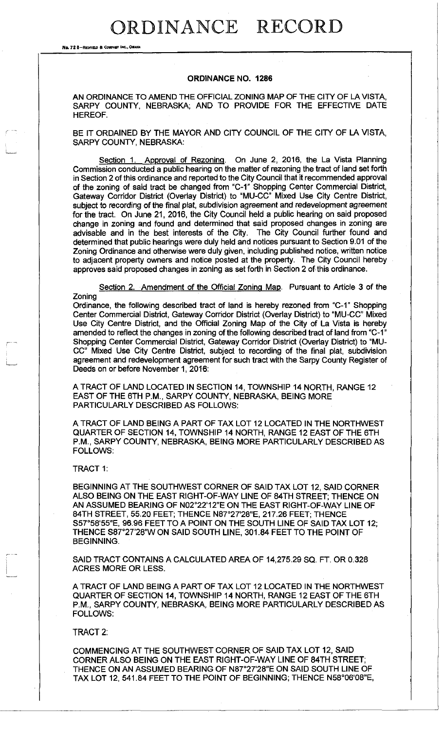## **ORDINANCE RECORD**

**No.** 72 8-REDFIELS **ft** COHHMT IHC, OMAHA

## **ORDINANCE NO. 1286**

AN ORDINANCE TO AMEND THE OFFICIAL ZONING MAP OF THE CITY OF LA VISTA, SARPY COUNTY, NEBRASKA; AND TO PROVIDE FOR THE EFFECTIVE DATE HEREOF.

BE IT ORDAINED BY THE MAYOR AND CITY COUNCIL OF THE CITY OF LA VISTA, SARPY COUNTY, NEBRASKA:

Section 1. Approval of Rezoning. On June 2, 2016, the La Vista Planning Commission conducted a public hearing on the matter of rezoning the tract of land set forth in Section 2 of this ordinance and reported to the City Council that it recommended approval of the zoning of said tract be changed from "C-1" Shopping Center Commercial District, Gateway Corridor District (Overlay District) to "MU-CC" Mixed Use City Centre District, subject to recording of the final plat, subdivision agreement and redevelopment agreement for the tract. On June 21, 2016, the City Council held a public hearing on said proposed change in zoning and found and determined that said proposed changes in zoning are advisable and in the best interests of the City. The City Council further found and determined that public hearings were duly held and notices pursuant to Section 9.01 of the Zoning Ordinance and otherwise were duly given, including published notice, written notice to adjacent property owners and notice posted at the property. The City Council hereby approves said proposed changes in zoning as set forth in Section 2 of this ordinance.

Section 2. Amendment of the Official Zoning Map. Pursuant to Article 3 of the Zoning

Ordinance, the following described tract of land is hereby rezoned from "C-1" Shopping Center Commercial District, Gateway Corridor District (Overlay District) to "MU-CC" Mixed Use City Centre District, and the Official Zoning Map of the City of La Vista is hereby amended to reflect the changes in zoning of the following described tract of land from "C-1" Shopping Center Commercial District, Gateway Corridor District (Overlay District) to "MU-CC" Mixed Use City Centre District, subject to recording of the final plat, subdivision agreement and redevelopment agreement for such tract with the Sarpy County Register of Deeds on or before November 1, 2016:

A TRACT OF LAND LOCATED IN SECTION 14, TOWNSHIP 14 NORTH, RANGE 12 EAST OF THE 6TH P.M., SARPY COUNTY, NEBRASKA, BEING MORE PARTICULARLY DESCRIBED AS FOLLOWS:

A TRACT OF LAND BEING A PART OF TAX LOT 12 LOCATED IN THE NORTHWEST QUARTER OF SECTION 14, TOWNSHIP 14 NORTH, RANGE 12 EAST OF THE 6TH P.M., SARPY COUNTY, NEBRASKA, BEING MORE PARTICULARLY DESCRIBED AS FOLLOWS:

TRACT 1:

BEGINNING AT THE SOUTHWEST CORNER OF SAID TAX LOT 12, SAID CORNER ALSO BEING ON THE EAST RIGHT-OF-WAY LINE OF 84TH STREET; THENCE ON AN ASSUMED BEARING OF N02°22'12"E ON THE EAST RIGHT-OF-WAY LINE OF 84TH STREET, 55.20 FEET; THENCE N87°27'28"E, 217.26 FEET; THENCE S57°58'55"E, 96.96 FEET TO A POINT ON THE SOUTH LINE OF SAID TAX LOT 12; THENCE S87°27'28"W ON SAID SOUTH LINE, 301.84 FEET TO THE POINT OF BEGINNING.

SAID TRACT CONTAINS A CALCULATED AREA OF 14,275.29 SQ. FT. OR 0.328 ACRES MORE OR LESS.

A TRACT OF LAND BEING A PART OF TAX LOT 12 LOCATED IN THE NORTHWEST QUARTER OF SECTION 14, TOWNSHIP 14 NORTH, RANGE 12 EAST OF THE 6TH P.M., SARPY COUNTY, NEBRASKA, BEING MORE PARTICULARLY DESCRIBED AS FOLLOWS:

## TRACT 2:

COMMENCING AT THE SOUTHWEST CORNER OF SAID TAX LOT 12, SAID CORNER ALSO BEING ON THE EAST RIGHT-OF-WAY LINE OF 84TH STREET; THENCE ON AN ASSUMED BEARING OF N87°27'28"E ON SAID SOUTH LINE OF TAX LOT 12, 541.84 FEET TO THE POINT OF BEGINNING; THENCE N58°06'08"E,